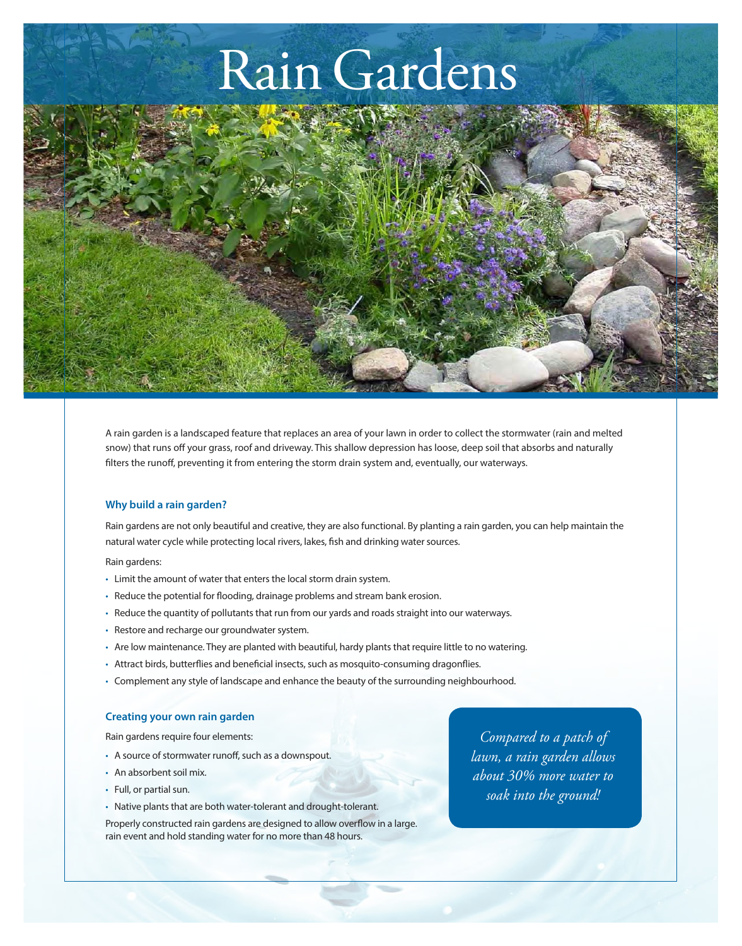# Rain Gardens

A rain garden is a landscaped feature that replaces an area of your lawn in order to collect the stormwater (rain and melted snow) that runs off your grass, roof and driveway. This shallow depression has loose, deep soil that absorbs and naturally filters the runoff, preventing it from entering the storm drain system and, eventually, our waterways.

#### **Why build a rain garden?**

Rain gardens are not only beautiful and creative, they are also functional. By planting a rain garden, you can help maintain the natural water cycle while protecting local rivers, lakes, fish and drinking water sources.

#### Rain gardens:

- Limit the amount of water that enters the local storm drain system.
- Reduce the potential for flooding, drainage problems and stream bank erosion.
- Reduce the quantity of pollutants that run from our yards and roads straight into our waterways.
- Restore and recharge our groundwater system.
- Are low maintenance. They are planted with beautiful, hardy plants that require little to no watering.
- Attract birds, butterflies and beneficial insects, such as mosquito-consuming dragonflies.
- Complement any style of landscape and enhance the beauty of the surrounding neighbourhood.

### **Creating your own rain garden**

Rain gardens require four elements:

- A source of stormwater runoff, such as a downspout.
- An absorbent soil mix.
- Full, or partial sun.
- • Native plants that are both water-tolerant and drought-tolerant.

Properly constructed rain gardens are designed to allow overflow in a large. rain event and hold standing water for no more than 48 hours.

*Compared to a patch of lawn, a rain garden allows about 30% more water to soak into the ground!*